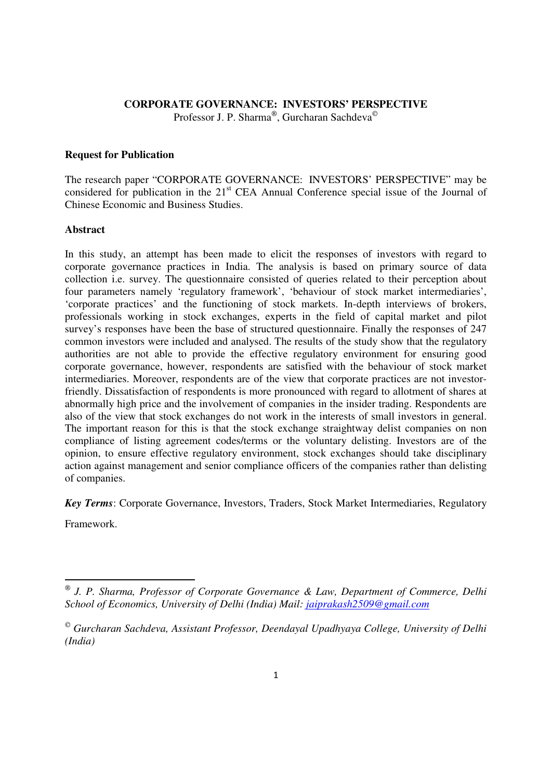### **CORPORATE GOVERNANCE: INVESTORS' PERSPECTIVE** Professor J. P. Sharma®, Gurcharan Sachdeva®

#### **Request for Publication**

The research paper "CORPORATE GOVERNANCE: INVESTORS' PERSPECTIVE" may be considered for publication in the 21<sup>st</sup> CEA Annual Conference special issue of the Journal of Chinese Economic and Business Studies.

#### **Abstract**

In this study, an attempt has been made to elicit the responses of investors with regard to corporate governance practices in India. The analysis is based on primary source of data collection i.e. survey. The questionnaire consisted of queries related to their perception about four parameters namely 'regulatory framework', 'behaviour of stock market intermediaries', 'corporate practices' and the functioning of stock markets. In-depth interviews of brokers, professionals working in stock exchanges, experts in the field of capital market and pilot survey's responses have been the base of structured questionnaire. Finally the responses of 247 common investors were included and analysed. The results of the study show that the regulatory authorities are not able to provide the effective regulatory environment for ensuring good corporate governance, however, respondents are satisfied with the behaviour of stock market intermediaries. Moreover, respondents are of the view that corporate practices are not investorfriendly. Dissatisfaction of respondents is more pronounced with regard to allotment of shares at abnormally high price and the involvement of companies in the insider trading. Respondents are also of the view that stock exchanges do not work in the interests of small investors in general. The important reason for this is that the stock exchange straightway delist companies on non compliance of listing agreement codes/terms or the voluntary delisting. Investors are of the opinion, to ensure effective regulatory environment, stock exchanges should take disciplinary action against management and senior compliance officers of the companies rather than delisting of companies.

*Key Terms*: Corporate Governance, Investors, Traders, Stock Market Intermediaries, Regulatory

Framework.

<u>.</u>

*J. P. Sharma, Professor of Corporate Governance & Law, Department of Commerce, Delhi School of Economics, University of Delhi (India) Mail: jaiprakash2509@gmail.com*

*Gurcharan Sachdeva, Assistant Professor, Deendayal Upadhyaya College, University of Delhi (India)*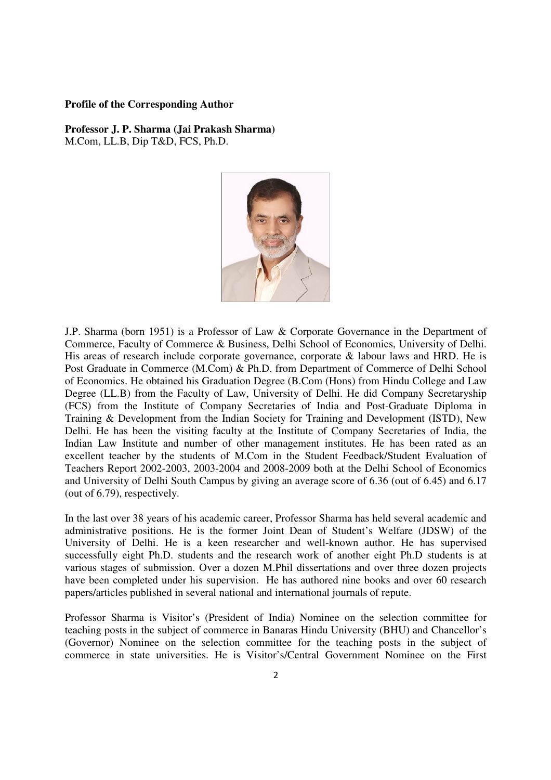#### **Profile of the Corresponding Author**

**Professor J. P. Sharma (Jai Prakash Sharma)**  M.Com, LL.B, Dip T&D, FCS, Ph.D.



J.P. Sharma (born 1951) is a Professor of Law & Corporate Governance in the Department of Commerce, Faculty of Commerce & Business, Delhi School of Economics, University of Delhi. His areas of research include corporate governance, corporate & labour laws and HRD. He is Post Graduate in Commerce (M.Com) & Ph.D. from Department of Commerce of Delhi School of Economics. He obtained his Graduation Degree (B.Com (Hons) from Hindu College and Law Degree (LL.B) from the Faculty of Law, University of Delhi. He did Company Secretaryship (FCS) from the Institute of Company Secretaries of India and Post-Graduate Diploma in Training & Development from the Indian Society for Training and Development (ISTD), New Delhi. He has been the visiting faculty at the Institute of Company Secretaries of India, the Indian Law Institute and number of other management institutes. He has been rated as an excellent teacher by the students of M.Com in the Student Feedback/Student Evaluation of Teachers Report 2002-2003, 2003-2004 and 2008-2009 both at the Delhi School of Economics and University of Delhi South Campus by giving an average score of 6.36 (out of 6.45) and 6.17 (out of 6.79), respectively.

In the last over 38 years of his academic career, Professor Sharma has held several academic and administrative positions. He is the former Joint Dean of Student's Welfare (JDSW) of the University of Delhi. He is a keen researcher and well-known author. He has supervised successfully eight Ph.D. students and the research work of another eight Ph.D students is at various stages of submission. Over a dozen M.Phil dissertations and over three dozen projects have been completed under his supervision. He has authored nine books and over 60 research papers/articles published in several national and international journals of repute.

Professor Sharma is Visitor's (President of India) Nominee on the selection committee for teaching posts in the subject of commerce in Banaras Hindu University (BHU) and Chancellor's (Governor) Nominee on the selection committee for the teaching posts in the subject of commerce in state universities. He is Visitor's/Central Government Nominee on the First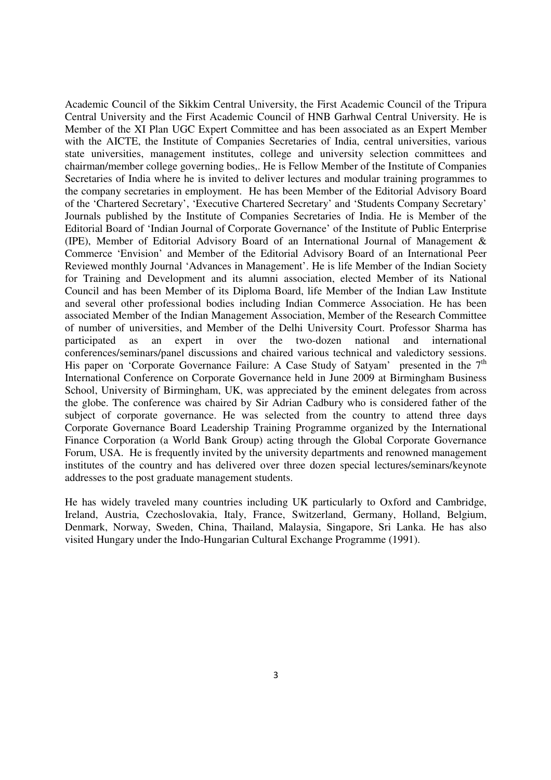Academic Council of the Sikkim Central University, the First Academic Council of the Tripura Central University and the First Academic Council of HNB Garhwal Central University. He is Member of the XI Plan UGC Expert Committee and has been associated as an Expert Member with the AICTE, the Institute of Companies Secretaries of India, central universities, various state universities, management institutes, college and university selection committees and chairman/member college governing bodies,. He is Fellow Member of the Institute of Companies Secretaries of India where he is invited to deliver lectures and modular training programmes to the company secretaries in employment. He has been Member of the Editorial Advisory Board of the 'Chartered Secretary', 'Executive Chartered Secretary' and 'Students Company Secretary' Journals published by the Institute of Companies Secretaries of India. He is Member of the Editorial Board of 'Indian Journal of Corporate Governance' of the Institute of Public Enterprise (IPE), Member of Editorial Advisory Board of an International Journal of Management & Commerce 'Envision' and Member of the Editorial Advisory Board of an International Peer Reviewed monthly Journal 'Advances in Management'. He is life Member of the Indian Society for Training and Development and its alumni association, elected Member of its National Council and has been Member of its Diploma Board, life Member of the Indian Law Institute and several other professional bodies including Indian Commerce Association. He has been associated Member of the Indian Management Association, Member of the Research Committee of number of universities, and Member of the Delhi University Court. Professor Sharma has participated as an expert in over the two-dozen national and international conferences/seminars/panel discussions and chaired various technical and valedictory sessions. His paper on 'Corporate Governance Failure: A Case Study of Satyam' presented in the  $7<sup>th</sup>$ International Conference on Corporate Governance held in June 2009 at Birmingham Business School, University of Birmingham, UK, was appreciated by the eminent delegates from across the globe. The conference was chaired by Sir Adrian Cadbury who is considered father of the subject of corporate governance. He was selected from the country to attend three days Corporate Governance Board Leadership Training Programme organized by the International Finance Corporation (a World Bank Group) acting through the Global Corporate Governance Forum, USA. He is frequently invited by the university departments and renowned management institutes of the country and has delivered over three dozen special lectures/seminars/keynote addresses to the post graduate management students.

He has widely traveled many countries including UK particularly to Oxford and Cambridge, Ireland, Austria, Czechoslovakia, Italy, France, Switzerland, Germany, Holland, Belgium, Denmark, Norway, Sweden, China, Thailand, Malaysia, Singapore, Sri Lanka. He has also visited Hungary under the Indo-Hungarian Cultural Exchange Programme (1991).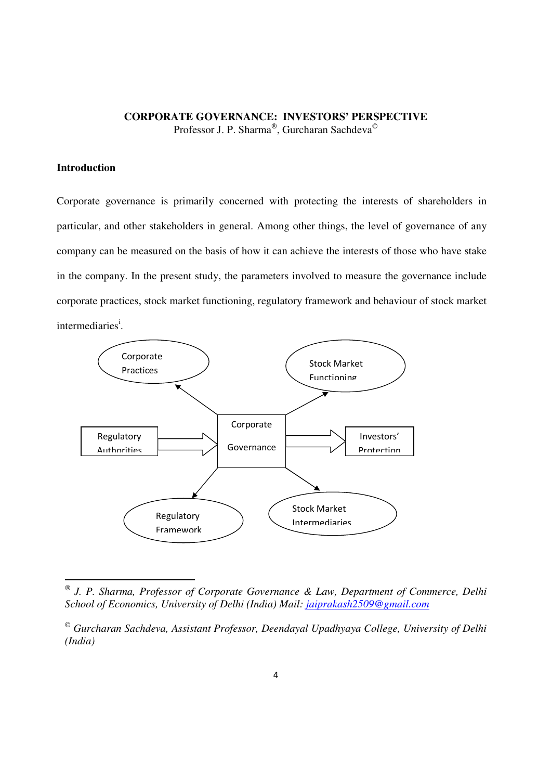### **CORPORATE GOVERNANCE: INVESTORS' PERSPECTIVE** Professor J. P. Sharma®, Gurcharan Sachdeva©

#### **Introduction**

<u>.</u>

Corporate governance is primarily concerned with protecting the interests of shareholders in particular, and other stakeholders in general. Among other things, the level of governance of any company can be measured on the basis of how it can achieve the interests of those who have stake in the company. In the present study, the parameters involved to measure the governance include corporate practices, stock market functioning, regulatory framework and behaviour of stock market intermediaries<sup>i</sup>.



*J. P. Sharma, Professor of Corporate Governance & Law, Department of Commerce, Delhi School of Economics, University of Delhi (India) Mail: jaiprakash2509@gmail.com*

*Gurcharan Sachdeva, Assistant Professor, Deendayal Upadhyaya College, University of Delhi (India)*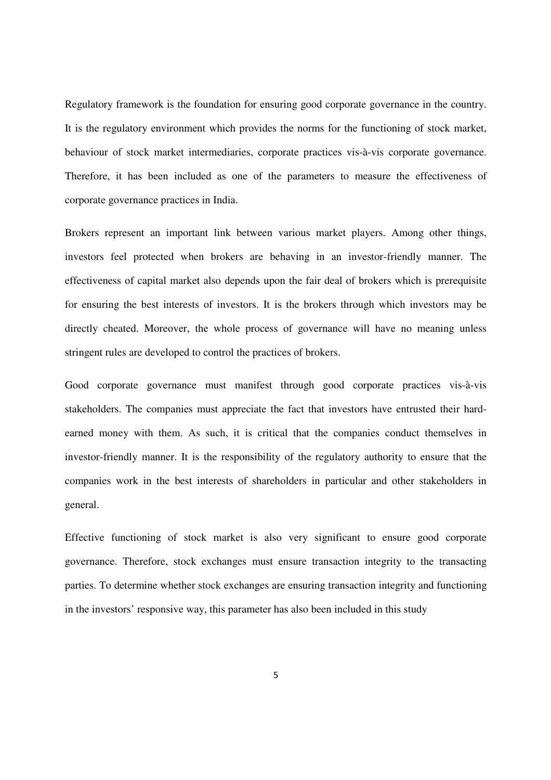Regulatory framework is the foundation for ensuring good corporate governance in the country. It is the regulatory environment which provides the norms for the functioning of stock market, behaviour of stock market intermediaries, corporate practices vis-à-vis corporate governance. Therefore, it has been included as one of the parameters to measure the effectiveness of corporate governance practices in India.

Brokers represent an important link between various market players. Among other things, investors feel protected when brokers are behaving in an investor-friendly manner. The effectiveness of capital market also depends upon the fair deal of brokers which is prerequisite for ensuring the best interests of investors. It is the brokers through which investors may be directly cheated. Moreover, the whole process of governance will have no meaning unless stringent rules are developed to control the practices of brokers.

Good corporate governance must manifest through good corporate practices vis-à-vis stakeholders. The companies must appreciate the fact that investors have entrusted their hardearned money with them. As such, it is critical that the companies conduct themselves in investor-friendly manner. It is the responsibility of the regulatory authority to ensure that the companies work in the best interests of shareholders in particular and other stakeholders in general.

Effective functioning of stock market is also very significant to ensure good corporate governance. Therefore, stock exchanges must ensure transaction integrity to the transacting parties. To determine whether stock exchanges are ensuring transaction integrity and functioning in the investors' responsive way, this parameter has also been included in this study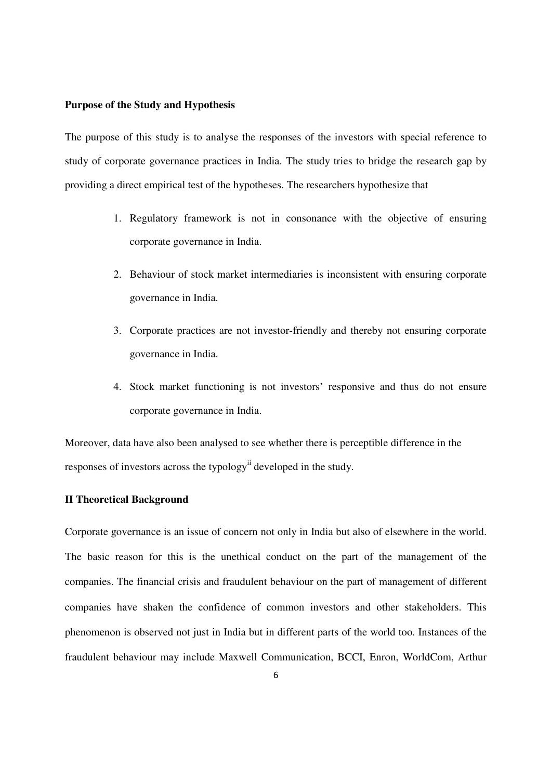#### **Purpose of the Study and Hypothesis**

The purpose of this study is to analyse the responses of the investors with special reference to study of corporate governance practices in India. The study tries to bridge the research gap by providing a direct empirical test of the hypotheses. The researchers hypothesize that

- 1. Regulatory framework is not in consonance with the objective of ensuring corporate governance in India.
- 2. Behaviour of stock market intermediaries is inconsistent with ensuring corporate governance in India.
- 3. Corporate practices are not investor-friendly and thereby not ensuring corporate governance in India.
- 4. Stock market functioning is not investors' responsive and thus do not ensure corporate governance in India.

Moreover, data have also been analysed to see whether there is perceptible difference in the responses of investors across the typology<sup>ii</sup> developed in the study.

#### **II Theoretical Background**

Corporate governance is an issue of concern not only in India but also of elsewhere in the world. The basic reason for this is the unethical conduct on the part of the management of the companies. The financial crisis and fraudulent behaviour on the part of management of different companies have shaken the confidence of common investors and other stakeholders. This phenomenon is observed not just in India but in different parts of the world too. Instances of the fraudulent behaviour may include Maxwell Communication, BCCI, Enron, WorldCom, Arthur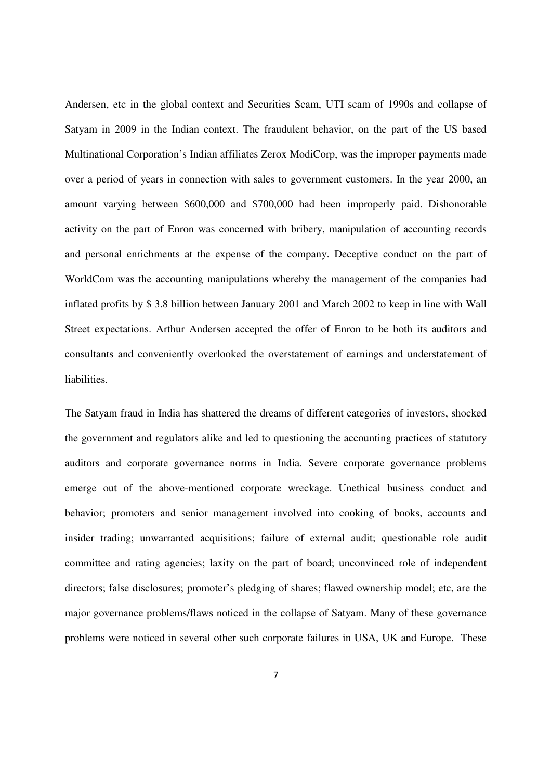Andersen, etc in the global context and Securities Scam, UTI scam of 1990s and collapse of Satyam in 2009 in the Indian context. The fraudulent behavior, on the part of the US based Multinational Corporation's Indian affiliates Zerox ModiCorp, was the improper payments made over a period of years in connection with sales to government customers. In the year 2000, an amount varying between \$600,000 and \$700,000 had been improperly paid. Dishonorable activity on the part of Enron was concerned with bribery, manipulation of accounting records and personal enrichments at the expense of the company. Deceptive conduct on the part of WorldCom was the accounting manipulations whereby the management of the companies had inflated profits by \$ 3.8 billion between January 2001 and March 2002 to keep in line with Wall Street expectations. Arthur Andersen accepted the offer of Enron to be both its auditors and consultants and conveniently overlooked the overstatement of earnings and understatement of liabilities.

The Satyam fraud in India has shattered the dreams of different categories of investors, shocked the government and regulators alike and led to questioning the accounting practices of statutory auditors and corporate governance norms in India. Severe corporate governance problems emerge out of the above-mentioned corporate wreckage. Unethical business conduct and behavior; promoters and senior management involved into cooking of books, accounts and insider trading; unwarranted acquisitions; failure of external audit; questionable role audit committee and rating agencies; laxity on the part of board; unconvinced role of independent directors; false disclosures; promoter's pledging of shares; flawed ownership model; etc, are the major governance problems/flaws noticed in the collapse of Satyam. Many of these governance problems were noticed in several other such corporate failures in USA, UK and Europe. These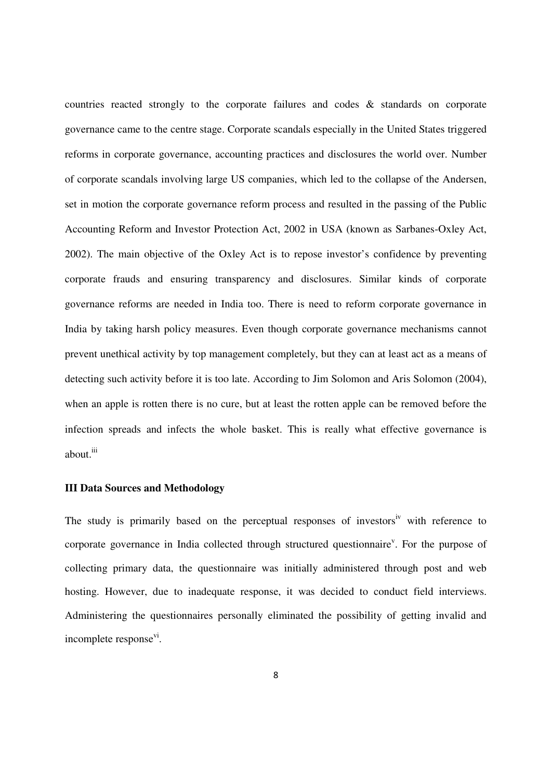countries reacted strongly to the corporate failures and codes & standards on corporate governance came to the centre stage. Corporate scandals especially in the United States triggered reforms in corporate governance, accounting practices and disclosures the world over. Number of corporate scandals involving large US companies, which led to the collapse of the Andersen, set in motion the corporate governance reform process and resulted in the passing of the Public Accounting Reform and Investor Protection Act, 2002 in USA (known as Sarbanes-Oxley Act, 2002). The main objective of the Oxley Act is to repose investor's confidence by preventing corporate frauds and ensuring transparency and disclosures. Similar kinds of corporate governance reforms are needed in India too. There is need to reform corporate governance in India by taking harsh policy measures. Even though corporate governance mechanisms cannot prevent unethical activity by top management completely, but they can at least act as a means of detecting such activity before it is too late. According to Jim Solomon and Aris Solomon (2004), when an apple is rotten there is no cure, but at least the rotten apple can be removed before the infection spreads and infects the whole basket. This is really what effective governance is about.<sup>iii</sup>

#### **III Data Sources and Methodology**

The study is primarily based on the perceptual responses of investors<sup>iv</sup> with reference to corporate governance in India collected through structured questionnaire<sup>v</sup>. For the purpose of collecting primary data, the questionnaire was initially administered through post and web hosting. However, due to inadequate response, it was decided to conduct field interviews. Administering the questionnaires personally eliminated the possibility of getting invalid and incomplete response<sup>vi</sup>.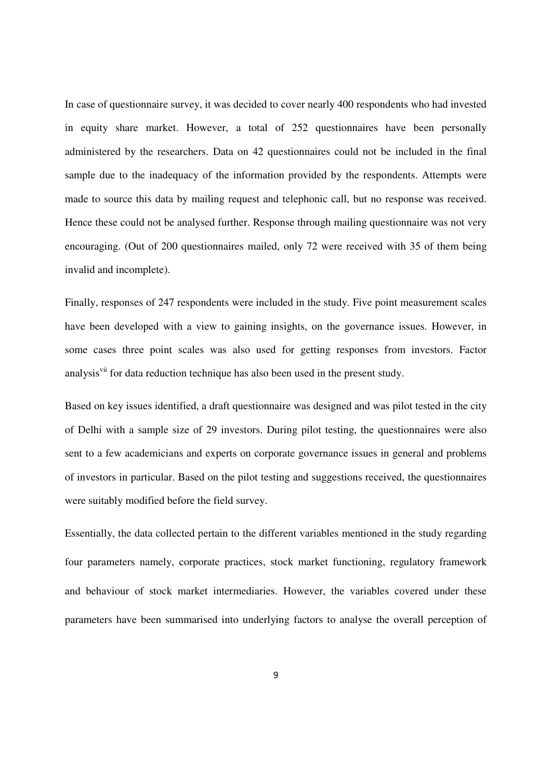In case of questionnaire survey, it was decided to cover nearly 400 respondents who had invested in equity share market. However, a total of 252 questionnaires have been personally administered by the researchers. Data on 42 questionnaires could not be included in the final sample due to the inadequacy of the information provided by the respondents. Attempts were made to source this data by mailing request and telephonic call, but no response was received. Hence these could not be analysed further. Response through mailing questionnaire was not very encouraging. (Out of 200 questionnaires mailed, only 72 were received with 35 of them being invalid and incomplete).

Finally, responses of 247 respondents were included in the study. Five point measurement scales have been developed with a view to gaining insights, on the governance issues. However, in some cases three point scales was also used for getting responses from investors. Factor analysis<sup>vii</sup> for data reduction technique has also been used in the present study.

Based on key issues identified, a draft questionnaire was designed and was pilot tested in the city of Delhi with a sample size of 29 investors. During pilot testing, the questionnaires were also sent to a few academicians and experts on corporate governance issues in general and problems of investors in particular. Based on the pilot testing and suggestions received, the questionnaires were suitably modified before the field survey.

Essentially, the data collected pertain to the different variables mentioned in the study regarding four parameters namely, corporate practices, stock market functioning, regulatory framework and behaviour of stock market intermediaries. However, the variables covered under these parameters have been summarised into underlying factors to analyse the overall perception of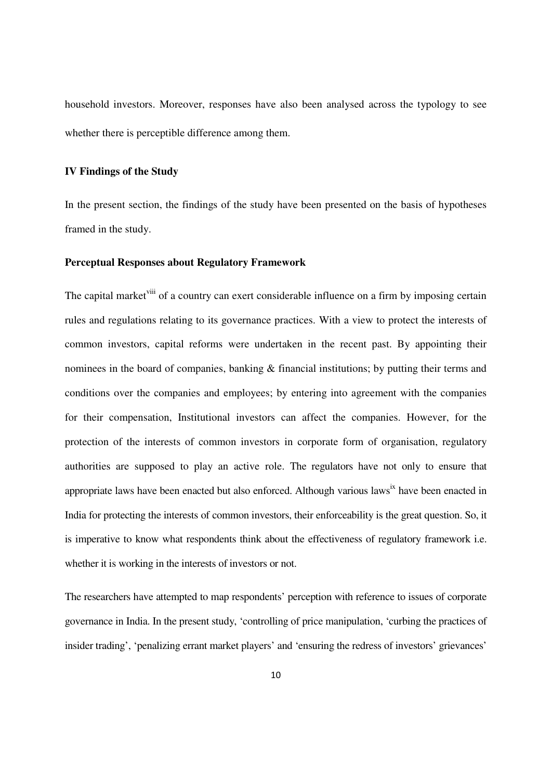household investors. Moreover, responses have also been analysed across the typology to see whether there is perceptible difference among them.

#### **IV Findings of the Study**

In the present section, the findings of the study have been presented on the basis of hypotheses framed in the study.

#### **Perceptual Responses about Regulatory Framework**

The capital market<sup>viii</sup> of a country can exert considerable influence on a firm by imposing certain rules and regulations relating to its governance practices. With a view to protect the interests of common investors, capital reforms were undertaken in the recent past. By appointing their nominees in the board of companies, banking & financial institutions; by putting their terms and conditions over the companies and employees; by entering into agreement with the companies for their compensation, Institutional investors can affect the companies. However, for the protection of the interests of common investors in corporate form of organisation, regulatory authorities are supposed to play an active role. The regulators have not only to ensure that appropriate laws have been enacted but also enforced. Although various laws<sup>ix</sup> have been enacted in India for protecting the interests of common investors, their enforceability is the great question. So, it is imperative to know what respondents think about the effectiveness of regulatory framework i.e. whether it is working in the interests of investors or not.

The researchers have attempted to map respondents' perception with reference to issues of corporate governance in India. In the present study, 'controlling of price manipulation, 'curbing the practices of insider trading', 'penalizing errant market players' and 'ensuring the redress of investors' grievances'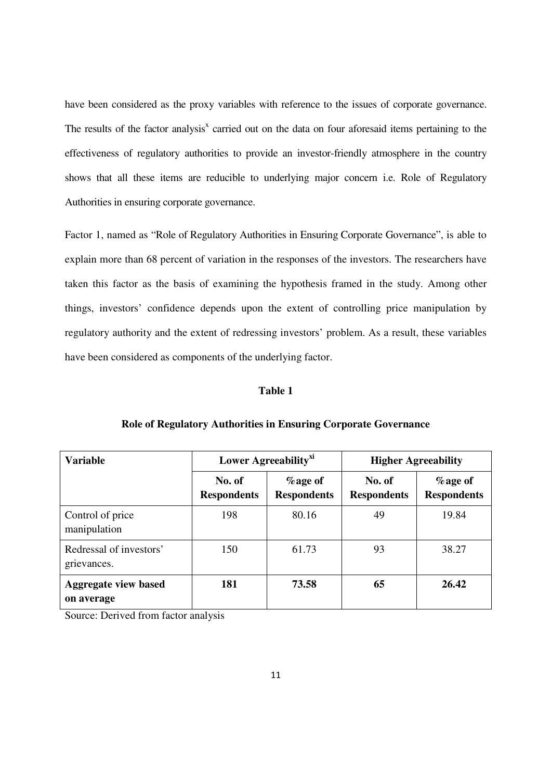have been considered as the proxy variables with reference to the issues of corporate governance. The results of the factor analysis<sup>x</sup> carried out on the data on four aforesaid items pertaining to the effectiveness of regulatory authorities to provide an investor-friendly atmosphere in the country shows that all these items are reducible to underlying major concern i.e. Role of Regulatory Authorities in ensuring corporate governance.

Factor 1, named as "Role of Regulatory Authorities in Ensuring Corporate Governance", is able to explain more than 68 percent of variation in the responses of the investors. The researchers have taken this factor as the basis of examining the hypothesis framed in the study. Among other things, investors' confidence depends upon the extent of controlling price manipulation by regulatory authority and the extent of redressing investors' problem. As a result, these variables have been considered as components of the underlying factor.

#### **Table 1**

| <b>Variable</b>                           |                              | Lower Agreeability <sup>xi</sup> | <b>Higher Agreeability</b>   |                                  |  |
|-------------------------------------------|------------------------------|----------------------------------|------------------------------|----------------------------------|--|
|                                           | No. of<br><b>Respondents</b> | $%$ age of<br><b>Respondents</b> | No. of<br><b>Respondents</b> | $%$ age of<br><b>Respondents</b> |  |
| Control of price<br>manipulation          | 198                          | 80.16                            | 49                           | 19.84                            |  |
| Redressal of investors'<br>grievances.    | 150                          | 61.73                            | 93                           | 38.27                            |  |
| <b>Aggregate view based</b><br>on average | 181                          | 73.58                            | 65                           | 26.42                            |  |

#### **Role of Regulatory Authorities in Ensuring Corporate Governance**

Source: Derived from factor analysis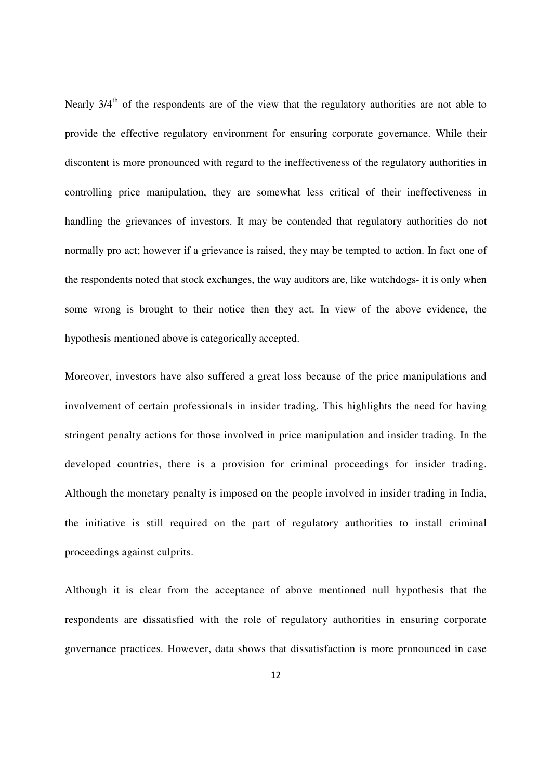Nearly  $3/4<sup>th</sup>$  of the respondents are of the view that the regulatory authorities are not able to provide the effective regulatory environment for ensuring corporate governance. While their discontent is more pronounced with regard to the ineffectiveness of the regulatory authorities in controlling price manipulation, they are somewhat less critical of their ineffectiveness in handling the grievances of investors. It may be contended that regulatory authorities do not normally pro act; however if a grievance is raised, they may be tempted to action. In fact one of the respondents noted that stock exchanges, the way auditors are, like watchdogs- it is only when some wrong is brought to their notice then they act. In view of the above evidence, the hypothesis mentioned above is categorically accepted.

Moreover, investors have also suffered a great loss because of the price manipulations and involvement of certain professionals in insider trading. This highlights the need for having stringent penalty actions for those involved in price manipulation and insider trading. In the developed countries, there is a provision for criminal proceedings for insider trading. Although the monetary penalty is imposed on the people involved in insider trading in India, the initiative is still required on the part of regulatory authorities to install criminal proceedings against culprits.

Although it is clear from the acceptance of above mentioned null hypothesis that the respondents are dissatisfied with the role of regulatory authorities in ensuring corporate governance practices. However, data shows that dissatisfaction is more pronounced in case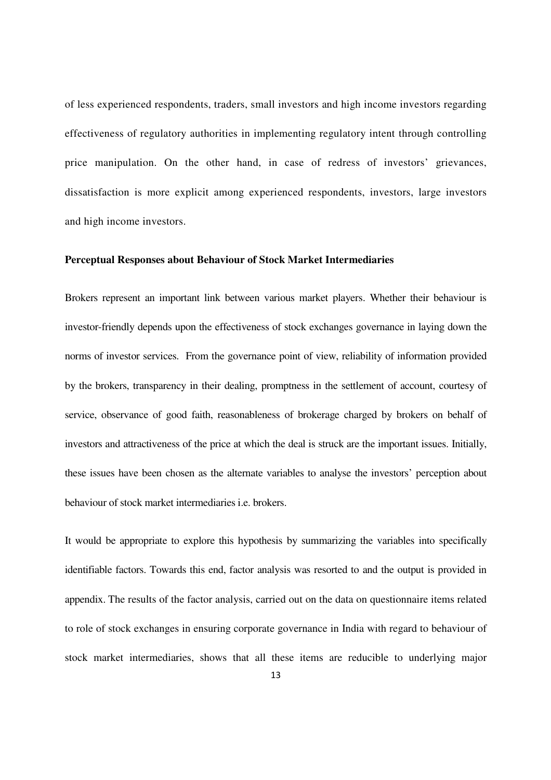of less experienced respondents, traders, small investors and high income investors regarding effectiveness of regulatory authorities in implementing regulatory intent through controlling price manipulation. On the other hand, in case of redress of investors' grievances, dissatisfaction is more explicit among experienced respondents, investors, large investors and high income investors.

#### **Perceptual Responses about Behaviour of Stock Market Intermediaries**

Brokers represent an important link between various market players. Whether their behaviour is investor-friendly depends upon the effectiveness of stock exchanges governance in laying down the norms of investor services. From the governance point of view, reliability of information provided by the brokers, transparency in their dealing, promptness in the settlement of account, courtesy of service, observance of good faith, reasonableness of brokerage charged by brokers on behalf of investors and attractiveness of the price at which the deal is struck are the important issues. Initially, these issues have been chosen as the alternate variables to analyse the investors' perception about behaviour of stock market intermediaries i.e. brokers.

It would be appropriate to explore this hypothesis by summarizing the variables into specifically identifiable factors. Towards this end, factor analysis was resorted to and the output is provided in appendix. The results of the factor analysis, carried out on the data on questionnaire items related to role of stock exchanges in ensuring corporate governance in India with regard to behaviour of stock market intermediaries, shows that all these items are reducible to underlying major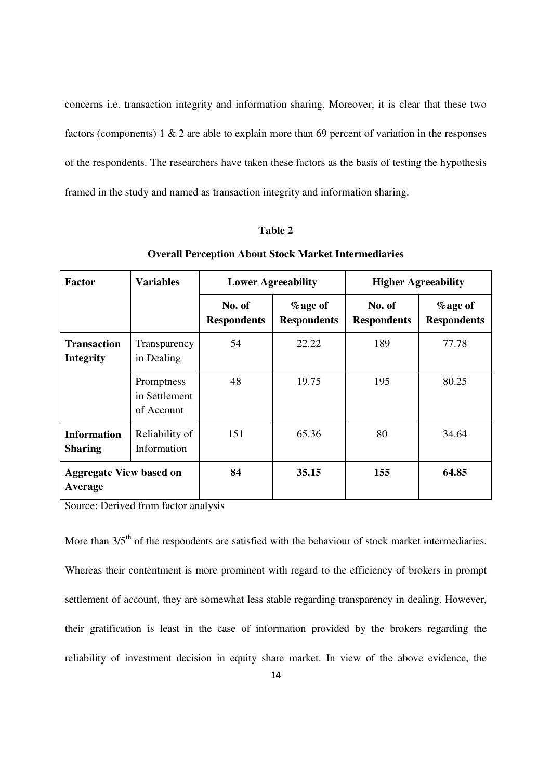concerns i.e. transaction integrity and information sharing. Moreover, it is clear that these two factors (components) 1 & 2 are able to explain more than 69 percent of variation in the responses of the respondents. The researchers have taken these factors as the basis of testing the hypothesis framed in the study and named as transaction integrity and information sharing.

#### **Table 2**

| <b>Factor</b>                             | <b>Variables</b>                          |                              | <b>Lower Agreeability</b>        | <b>Higher Agreeability</b>   |                                  |  |
|-------------------------------------------|-------------------------------------------|------------------------------|----------------------------------|------------------------------|----------------------------------|--|
|                                           |                                           | No. of<br><b>Respondents</b> | $%$ age of<br><b>Respondents</b> | No. of<br><b>Respondents</b> | $%$ age of<br><b>Respondents</b> |  |
| <b>Transaction</b><br><b>Integrity</b>    | Transparency<br>in Dealing                | 54                           | 22.22                            | 189                          | 77.78                            |  |
|                                           | Promptness<br>in Settlement<br>of Account | 48                           | 19.75                            | 195                          | 80.25                            |  |
| <b>Information</b><br><b>Sharing</b>      | Reliability of<br>Information             | 151                          | 65.36                            | 80                           | 34.64                            |  |
| <b>Aggregate View based on</b><br>Average |                                           | 84                           | 35.15                            | 155                          | 64.85                            |  |

**Overall Perception About Stock Market Intermediaries** 

Source: Derived from factor analysis

More than 3/5<sup>th</sup> of the respondents are satisfied with the behaviour of stock market intermediaries. Whereas their contentment is more prominent with regard to the efficiency of brokers in prompt settlement of account, they are somewhat less stable regarding transparency in dealing. However, their gratification is least in the case of information provided by the brokers regarding the reliability of investment decision in equity share market. In view of the above evidence, the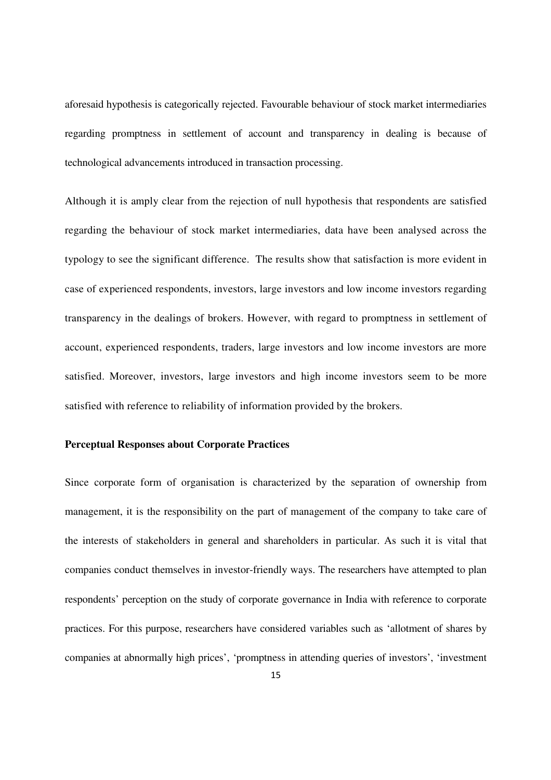aforesaid hypothesis is categorically rejected. Favourable behaviour of stock market intermediaries regarding promptness in settlement of account and transparency in dealing is because of technological advancements introduced in transaction processing.

Although it is amply clear from the rejection of null hypothesis that respondents are satisfied regarding the behaviour of stock market intermediaries, data have been analysed across the typology to see the significant difference. The results show that satisfaction is more evident in case of experienced respondents, investors, large investors and low income investors regarding transparency in the dealings of brokers. However, with regard to promptness in settlement of account, experienced respondents, traders, large investors and low income investors are more satisfied. Moreover, investors, large investors and high income investors seem to be more satisfied with reference to reliability of information provided by the brokers.

#### **Perceptual Responses about Corporate Practices**

Since corporate form of organisation is characterized by the separation of ownership from management, it is the responsibility on the part of management of the company to take care of the interests of stakeholders in general and shareholders in particular. As such it is vital that companies conduct themselves in investor-friendly ways. The researchers have attempted to plan respondents' perception on the study of corporate governance in India with reference to corporate practices. For this purpose, researchers have considered variables such as 'allotment of shares by companies at abnormally high prices', 'promptness in attending queries of investors', 'investment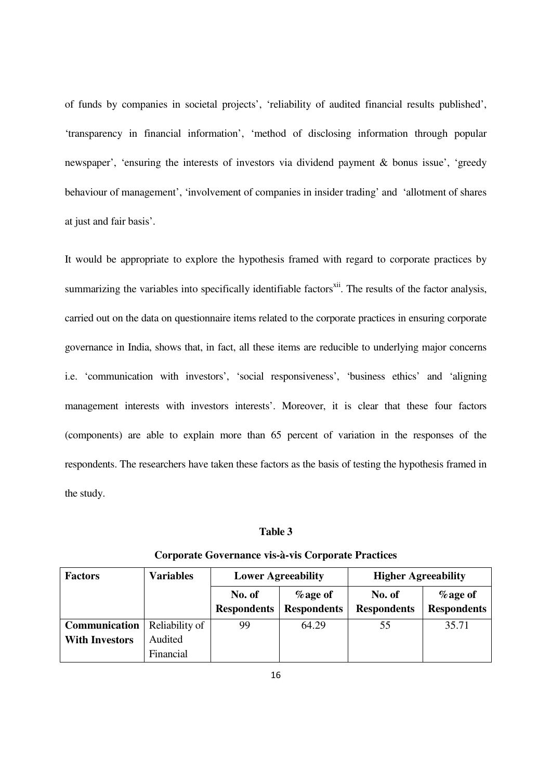of funds by companies in societal projects', 'reliability of audited financial results published', 'transparency in financial information', 'method of disclosing information through popular newspaper', 'ensuring the interests of investors via dividend payment & bonus issue', 'greedy behaviour of management', 'involvement of companies in insider trading' and 'allotment of shares at just and fair basis'.

It would be appropriate to explore the hypothesis framed with regard to corporate practices by summarizing the variables into specifically identifiable factors<sup>xii</sup>. The results of the factor analysis, carried out on the data on questionnaire items related to the corporate practices in ensuring corporate governance in India, shows that, in fact, all these items are reducible to underlying major concerns i.e. 'communication with investors', 'social responsiveness', 'business ethics' and 'aligning management interests with investors interests'. Moreover, it is clear that these four factors (components) are able to explain more than 65 percent of variation in the responses of the respondents. The researchers have taken these factors as the basis of testing the hypothesis framed in the study.

#### **Table 3**

| <b>Factors</b>        | <b>Variables</b> |                              | <b>Lower Agreeability</b>        | <b>Higher Agreeability</b>   |                                  |  |
|-----------------------|------------------|------------------------------|----------------------------------|------------------------------|----------------------------------|--|
|                       |                  | No. of<br><b>Respondents</b> | $%$ age of<br><b>Respondents</b> | No. of<br><b>Respondents</b> | $%$ age of<br><b>Respondents</b> |  |
| Communication         | Reliability of   | 99                           | 64.29                            | 55                           | 35.71                            |  |
| <b>With Investors</b> | Audited          |                              |                                  |                              |                                  |  |
|                       | Financial        |                              |                                  |                              |                                  |  |

#### **Corporate Governance vis-à-vis Corporate Practices**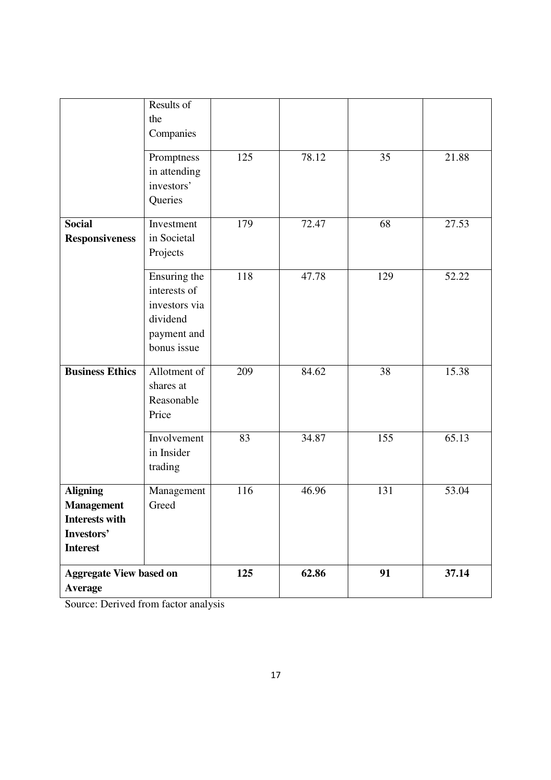|                                                                                                | Results of<br>the<br>Companies                                                          |     |       |     |       |
|------------------------------------------------------------------------------------------------|-----------------------------------------------------------------------------------------|-----|-------|-----|-------|
|                                                                                                | Promptness<br>in attending<br>investors'<br>Queries                                     | 125 | 78.12 | 35  | 21.88 |
| <b>Social</b><br><b>Responsiveness</b>                                                         | Investment<br>in Societal<br>Projects                                                   | 179 | 72.47 | 68  | 27.53 |
|                                                                                                | Ensuring the<br>interests of<br>investors via<br>dividend<br>payment and<br>bonus issue | 118 | 47.78 | 129 | 52.22 |
| <b>Business Ethics</b>                                                                         | Allotment of<br>shares at<br>Reasonable<br>Price                                        | 209 | 84.62 | 38  | 15.38 |
|                                                                                                | Involvement<br>in Insider<br>trading                                                    | 83  | 34.87 | 155 | 65.13 |
| <b>Aligning</b><br><b>Management</b><br><b>Interests with</b><br>Investors'<br><b>Interest</b> | Management<br>Greed                                                                     | 116 | 46.96 | 131 | 53.04 |
| <b>Aggregate View based on</b><br>Average                                                      |                                                                                         | 125 | 62.86 | 91  | 37.14 |

Source: Derived from factor analysis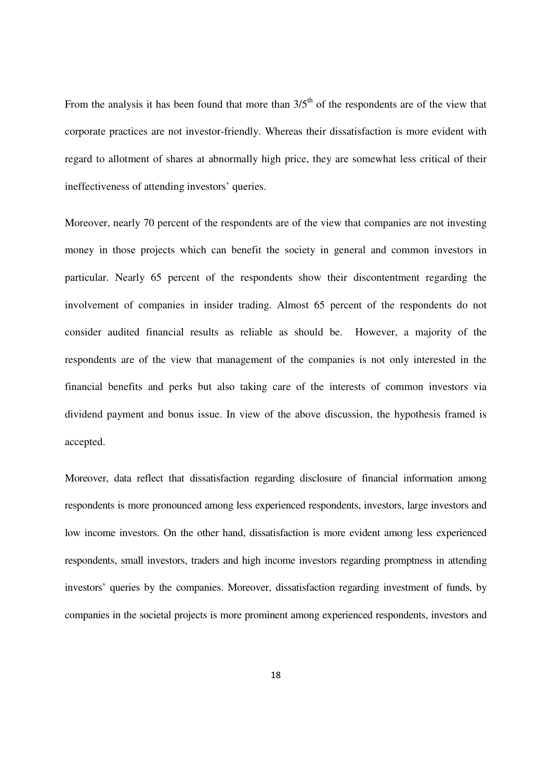From the analysis it has been found that more than  $3/5<sup>th</sup>$  of the respondents are of the view that corporate practices are not investor-friendly. Whereas their dissatisfaction is more evident with regard to allotment of shares at abnormally high price, they are somewhat less critical of their ineffectiveness of attending investors' queries.

Moreover, nearly 70 percent of the respondents are of the view that companies are not investing money in those projects which can benefit the society in general and common investors in particular. Nearly 65 percent of the respondents show their discontentment regarding the involvement of companies in insider trading. Almost 65 percent of the respondents do not consider audited financial results as reliable as should be. However, a majority of the respondents are of the view that management of the companies is not only interested in the financial benefits and perks but also taking care of the interests of common investors via dividend payment and bonus issue. In view of the above discussion, the hypothesis framed is accepted.

Moreover, data reflect that dissatisfaction regarding disclosure of financial information among respondents is more pronounced among less experienced respondents, investors, large investors and low income investors. On the other hand, dissatisfaction is more evident among less experienced respondents, small investors, traders and high income investors regarding promptness in attending investors' queries by the companies. Moreover, dissatisfaction regarding investment of funds, by companies in the societal projects is more prominent among experienced respondents, investors and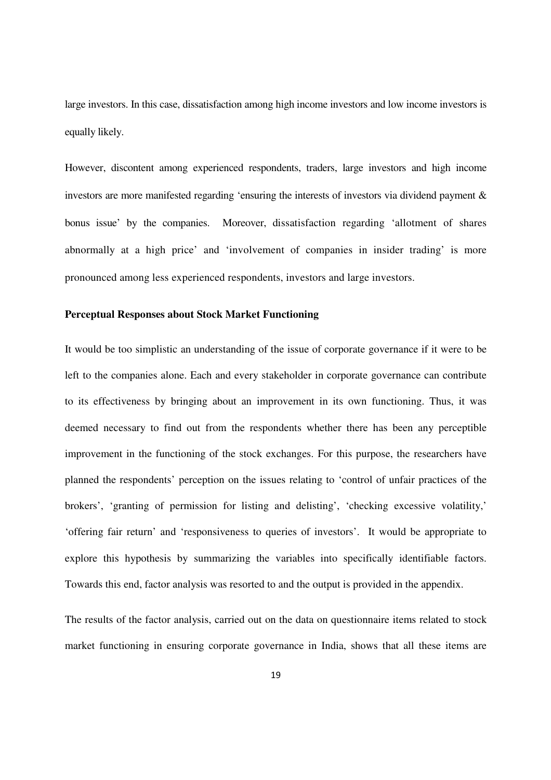large investors. In this case, dissatisfaction among high income investors and low income investors is equally likely.

However, discontent among experienced respondents, traders, large investors and high income investors are more manifested regarding 'ensuring the interests of investors via dividend payment & bonus issue' by the companies. Moreover, dissatisfaction regarding 'allotment of shares abnormally at a high price' and 'involvement of companies in insider trading' is more pronounced among less experienced respondents, investors and large investors.

#### **Perceptual Responses about Stock Market Functioning**

It would be too simplistic an understanding of the issue of corporate governance if it were to be left to the companies alone. Each and every stakeholder in corporate governance can contribute to its effectiveness by bringing about an improvement in its own functioning. Thus, it was deemed necessary to find out from the respondents whether there has been any perceptible improvement in the functioning of the stock exchanges. For this purpose, the researchers have planned the respondents' perception on the issues relating to 'control of unfair practices of the brokers', 'granting of permission for listing and delisting', 'checking excessive volatility,' 'offering fair return' and 'responsiveness to queries of investors'. It would be appropriate to explore this hypothesis by summarizing the variables into specifically identifiable factors. Towards this end, factor analysis was resorted to and the output is provided in the appendix.

The results of the factor analysis, carried out on the data on questionnaire items related to stock market functioning in ensuring corporate governance in India, shows that all these items are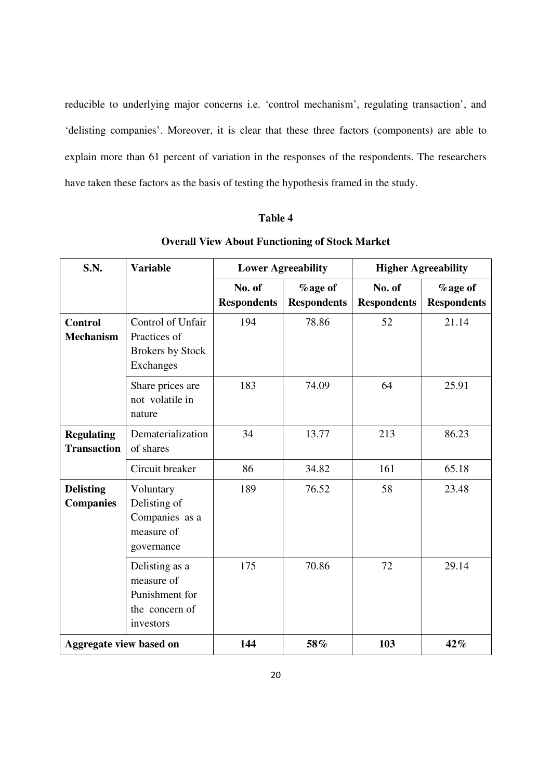reducible to underlying major concerns i.e. 'control mechanism', regulating transaction', and 'delisting companies'. Moreover, it is clear that these three factors (components) are able to explain more than 61 percent of variation in the responses of the respondents. The researchers have taken these factors as the basis of testing the hypothesis framed in the study.

### **Table 4**

| S.N.                                    | <b>Variable</b>                                                               | <b>Lower Agreeability</b>    |                                | <b>Higher Agreeability</b>   |                               |
|-----------------------------------------|-------------------------------------------------------------------------------|------------------------------|--------------------------------|------------------------------|-------------------------------|
|                                         |                                                                               | No. of<br><b>Respondents</b> | % age of<br><b>Respondents</b> | No. of<br><b>Respondents</b> | %age of<br><b>Respondents</b> |
| <b>Control</b><br><b>Mechanism</b>      | Control of Unfair<br>Practices of<br><b>Brokers by Stock</b><br>Exchanges     | 194                          | 78.86                          | 52                           | 21.14                         |
|                                         | Share prices are<br>not volatile in<br>nature                                 | 183                          | 74.09                          | 64                           | 25.91                         |
| <b>Regulating</b><br><b>Transaction</b> | Dematerialization<br>of shares                                                | 34                           | 13.77                          | 213                          | 86.23                         |
|                                         | Circuit breaker                                                               | 86                           | 34.82                          | 161                          | 65.18                         |
| <b>Delisting</b><br><b>Companies</b>    | Voluntary<br>Delisting of<br>Companies as a<br>measure of<br>governance       | 189                          | 76.52                          | 58                           | 23.48                         |
|                                         | Delisting as a<br>measure of<br>Punishment for<br>the concern of<br>investors | 175                          | 70.86                          | 72                           | 29.14                         |
| Aggregate view based on                 |                                                                               | 144                          | 58%                            | 103                          | 42%                           |

## **Overall View About Functioning of Stock Market**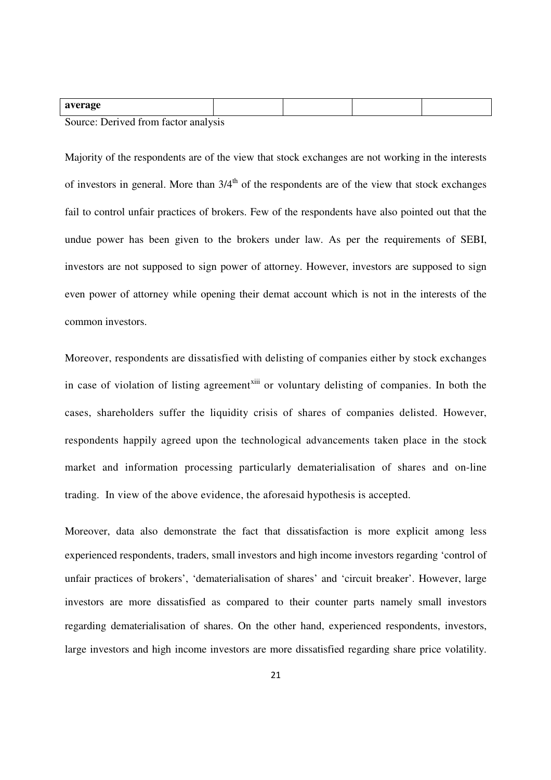| average                              |  |  |
|--------------------------------------|--|--|
| Course: Dorived from fector enalysis |  |  |

Source: Derived from factor analysis

Majority of the respondents are of the view that stock exchanges are not working in the interests of investors in general. More than  $3/4<sup>th</sup>$  of the respondents are of the view that stock exchanges fail to control unfair practices of brokers. Few of the respondents have also pointed out that the undue power has been given to the brokers under law. As per the requirements of SEBI, investors are not supposed to sign power of attorney. However, investors are supposed to sign even power of attorney while opening their demat account which is not in the interests of the common investors.

Moreover, respondents are dissatisfied with delisting of companies either by stock exchanges in case of violation of listing agreement<sup>xiii</sup> or voluntary delisting of companies. In both the cases, shareholders suffer the liquidity crisis of shares of companies delisted. However, respondents happily agreed upon the technological advancements taken place in the stock market and information processing particularly dematerialisation of shares and on-line trading. In view of the above evidence, the aforesaid hypothesis is accepted.

Moreover, data also demonstrate the fact that dissatisfaction is more explicit among less experienced respondents, traders, small investors and high income investors regarding 'control of unfair practices of brokers', 'dematerialisation of shares' and 'circuit breaker'. However, large investors are more dissatisfied as compared to their counter parts namely small investors regarding dematerialisation of shares. On the other hand, experienced respondents, investors, large investors and high income investors are more dissatisfied regarding share price volatility.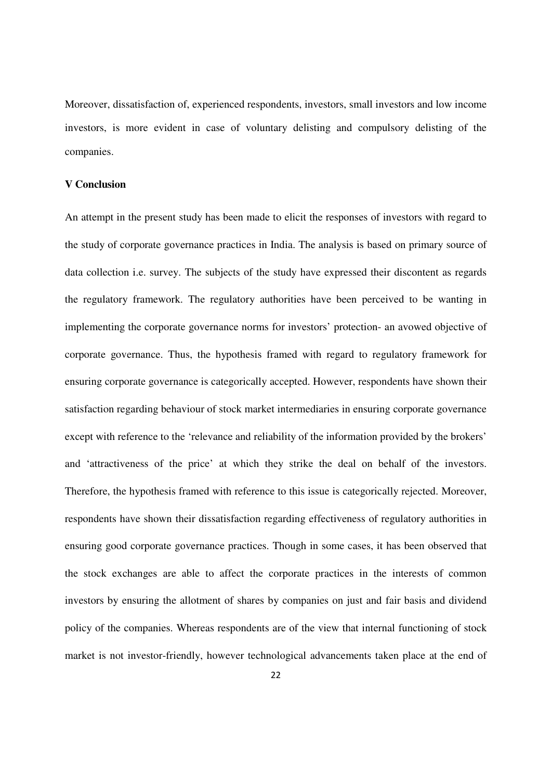Moreover, dissatisfaction of, experienced respondents, investors, small investors and low income investors, is more evident in case of voluntary delisting and compulsory delisting of the companies.

#### **V Conclusion**

An attempt in the present study has been made to elicit the responses of investors with regard to the study of corporate governance practices in India. The analysis is based on primary source of data collection i.e. survey. The subjects of the study have expressed their discontent as regards the regulatory framework. The regulatory authorities have been perceived to be wanting in implementing the corporate governance norms for investors' protection- an avowed objective of corporate governance. Thus, the hypothesis framed with regard to regulatory framework for ensuring corporate governance is categorically accepted. However, respondents have shown their satisfaction regarding behaviour of stock market intermediaries in ensuring corporate governance except with reference to the 'relevance and reliability of the information provided by the brokers' and 'attractiveness of the price' at which they strike the deal on behalf of the investors. Therefore, the hypothesis framed with reference to this issue is categorically rejected. Moreover, respondents have shown their dissatisfaction regarding effectiveness of regulatory authorities in ensuring good corporate governance practices. Though in some cases, it has been observed that the stock exchanges are able to affect the corporate practices in the interests of common investors by ensuring the allotment of shares by companies on just and fair basis and dividend policy of the companies. Whereas respondents are of the view that internal functioning of stock market is not investor-friendly, however technological advancements taken place at the end of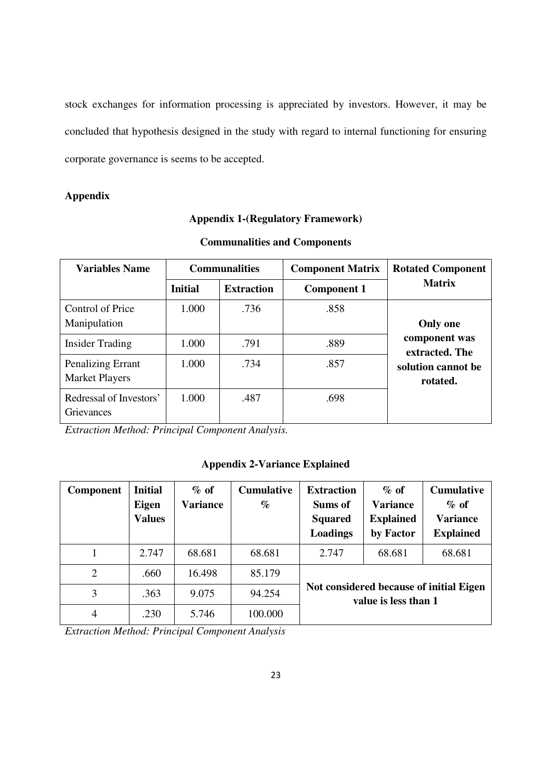stock exchanges for information processing is appreciated by investors. However, it may be concluded that hypothesis designed in the study with regard to internal functioning for ensuring corporate governance is seems to be accepted.

### **Appendix**

## **Appendix 1-(Regulatory Framework)**

| <b>Variables Name</b>                      | <b>Communalities</b> |                   | <b>Component Matrix</b> | <b>Rotated Component</b>        |  |
|--------------------------------------------|----------------------|-------------------|-------------------------|---------------------------------|--|
|                                            | <b>Initial</b>       | <b>Extraction</b> | <b>Component 1</b>      | <b>Matrix</b>                   |  |
| Control of Price<br>Manipulation           | 1.000                | .736              | .858                    | <b>Only one</b>                 |  |
| <b>Insider Trading</b>                     | 1.000                | .791              | .889                    | component was<br>extracted. The |  |
| Penalizing Errant<br><b>Market Players</b> | 1.000                | .734              | .857                    | solution cannot be<br>rotated.  |  |
| Redressal of Investors'<br>Grievances      | 1.000                | .487              | .698                    |                                 |  |

### **Communalities and Components**

*Extraction Method: Principal Component Analysis.* 

## **Appendix 2-Variance Explained**

| Component      | <b>Initial</b><br>Eigen<br><b>Values</b> | $%$ of<br><b>Variance</b> | <b>Cumulative</b><br>$\%$ | <b>Extraction</b><br>Sums of<br><b>Squared</b><br>Loadings      | $\%$ of<br><b>Variance</b><br><b>Explained</b><br>by Factor | <b>Cumulative</b><br>$\%$ of<br><b>Variance</b><br><b>Explained</b> |  |
|----------------|------------------------------------------|---------------------------|---------------------------|-----------------------------------------------------------------|-------------------------------------------------------------|---------------------------------------------------------------------|--|
|                | 2.747                                    | 68.681                    | 68.681                    | 2.747                                                           | 68.681                                                      | 68.681                                                              |  |
| $\overline{2}$ | .660                                     | 16.498                    | 85.179                    |                                                                 |                                                             |                                                                     |  |
| 3              | .363                                     | 9.075                     | 94.254                    | Not considered because of initial Eigen<br>value is less than 1 |                                                             |                                                                     |  |
| $\overline{4}$ | .230                                     | 5.746                     | 100.000                   |                                                                 |                                                             |                                                                     |  |

*Extraction Method: Principal Component Analysis*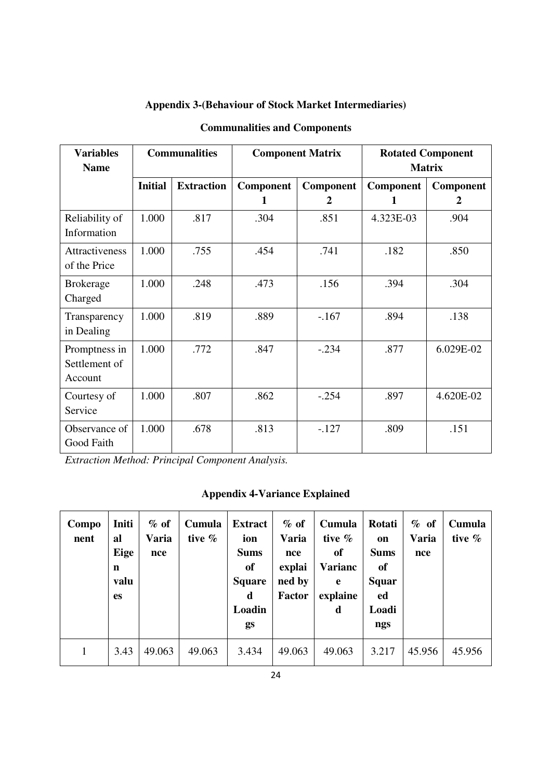| <b>Variables</b><br><b>Name</b>           | <b>Communalities</b> |                   |                       | <b>Component Matrix</b> | <b>Rotated Component</b><br><b>Matrix</b> |                |  |
|-------------------------------------------|----------------------|-------------------|-----------------------|-------------------------|-------------------------------------------|----------------|--|
|                                           | <b>Initial</b>       | <b>Extraction</b> | <b>Component</b><br>1 | Component<br>2          | Component<br>1                            | Component<br>2 |  |
| Reliability of<br>Information             | 1.000                | .817              | .304                  | .851                    | 4.323E-03                                 | .904           |  |
| <b>Attractiveness</b><br>of the Price     | 1.000                | .755              | .454                  | .741                    | .182                                      | .850           |  |
| <b>Brokerage</b><br>Charged               | 1.000                | .248              | .473                  | .156                    | .394                                      | .304           |  |
| Transparency<br>in Dealing                | 1.000                | .819              | .889                  | $-.167$                 | .894                                      | .138           |  |
| Promptness in<br>Settlement of<br>Account | 1.000                | .772              | .847                  | $-.234$                 | .877                                      | 6.029E-02      |  |
| Courtesy of<br>Service                    | 1.000                | .807              | .862                  | $-.254$                 | .897                                      | 4.620E-02      |  |
| Observance of<br>Good Faith               | 1.000                | .678              | .813                  | $-.127$                 | .809                                      | .151           |  |

## **Appendix 3-(Behaviour of Stock Market Intermediaries)**

**Communalities and Components** 

*Extraction Method: Principal Component Analysis.* 

## **Appendix 4-Variance Explained**

| Compo<br>nent | Initi<br>al<br>Eige<br>n<br>valu<br><b>es</b> | $%$ of<br>Varia<br>nce | Cumula<br>tive $%$ | <b>Extract</b><br>ion<br><b>Sums</b><br><sub>of</sub><br><b>Square</b><br>d<br>Loadin<br>gs | $\%$ of<br>Varia<br>nce<br>explai<br>ned by<br><b>Factor</b> | Cumula<br>tive $%$<br><sub>of</sub><br><b>Varianc</b><br>e<br>explaine<br>d | Rotati<br><sub>on</sub><br><b>Sums</b><br>of<br>Squar<br>ed<br>Loadi<br>ngs | $%$ of<br><b>Varia</b><br>nce | Cumula<br>tive $%$ |
|---------------|-----------------------------------------------|------------------------|--------------------|---------------------------------------------------------------------------------------------|--------------------------------------------------------------|-----------------------------------------------------------------------------|-----------------------------------------------------------------------------|-------------------------------|--------------------|
| 1             | 3.43                                          | 49.063                 | 49.063             | 3.434                                                                                       | 49.063                                                       | 49.063                                                                      | 3.217                                                                       | 45.956                        | 45.956             |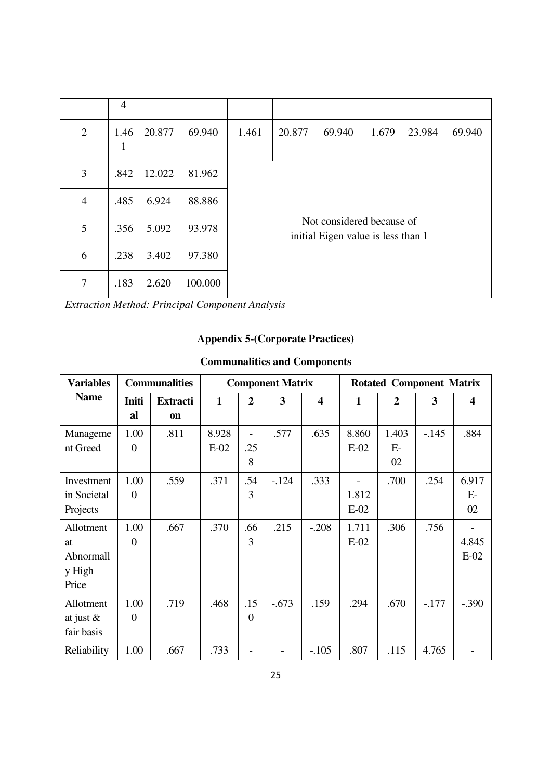|                | $\overline{4}$       |        |         |       |        |                                                                 |       |        |        |  |  |  |
|----------------|----------------------|--------|---------|-------|--------|-----------------------------------------------------------------|-------|--------|--------|--|--|--|
| $\overline{2}$ | 1.46<br>$\mathbf{1}$ | 20.877 | 69.940  | 1.461 | 20.877 | 69.940                                                          | 1.679 | 23.984 | 69.940 |  |  |  |
| 3              | .842                 | 12.022 | 81.962  |       |        |                                                                 |       |        |        |  |  |  |
| $\overline{4}$ | .485                 | 6.924  | 88.886  |       |        |                                                                 |       |        |        |  |  |  |
| 5              | .356                 | 5.092  | 93.978  |       |        | Not considered because of<br>initial Eigen value is less than 1 |       |        |        |  |  |  |
| 6              | .238                 | 3.402  | 97.380  |       |        |                                                                 |       |        |        |  |  |  |
| 7              | .183                 | 2.620  | 100.000 |       |        |                                                                 |       |        |        |  |  |  |

*Extraction Method: Principal Component Analysis* 

## **Appendix 5-(Corporate Practices)**

## **Communalities and Components**

| <b>Variables</b> | <b>Communalities</b> | <b>Component Matrix</b> |              |                  |         | <b>Rotated Component Matrix</b> |        |                  |         |                         |
|------------------|----------------------|-------------------------|--------------|------------------|---------|---------------------------------|--------|------------------|---------|-------------------------|
| <b>Name</b>      | Initi                | <b>Extracti</b>         | $\mathbf{1}$ | $\boldsymbol{2}$ | 3       | $\overline{\mathbf{4}}$         | 1      | $\boldsymbol{2}$ | 3       | $\overline{\mathbf{4}}$ |
|                  | al                   | on                      |              |                  |         |                                 |        |                  |         |                         |
| Manageme         | 1.00                 | .811                    | 8.928        | ÷.               | .577    | .635                            | 8.860  | 1.403            | $-.145$ | .884                    |
| nt Greed         | $\Omega$             |                         | $E-02$       | .25              |         |                                 | $E-02$ | $E-$             |         |                         |
|                  |                      |                         |              | 8                |         |                                 |        | 02               |         |                         |
| Investment       | 1.00                 | .559                    | .371         | .54              | $-124$  | .333                            |        | .700             | .254    | 6.917                   |
| in Societal      | $\overline{0}$       |                         |              | 3                |         |                                 | 1.812  |                  |         | $E-$                    |
| Projects         |                      |                         |              |                  |         |                                 | $E-02$ |                  |         | 02                      |
| Allotment        | 1.00                 | .667                    | .370         | .66              | .215    | $-.208$                         | 1.711  | .306             | .756    |                         |
| at               | $\theta$             |                         |              | 3                |         |                                 | $E-02$ |                  |         | 4.845                   |
| Abnormall        |                      |                         |              |                  |         |                                 |        |                  |         | $E-02$                  |
| y High           |                      |                         |              |                  |         |                                 |        |                  |         |                         |
| Price            |                      |                         |              |                  |         |                                 |        |                  |         |                         |
| Allotment        | 1.00                 | .719                    | .468         | .15              | $-.673$ | .159                            | .294   | .670             | $-.177$ | $-.390$                 |
| at just $\&$     | $\boldsymbol{0}$     |                         |              | $\boldsymbol{0}$ |         |                                 |        |                  |         |                         |
| fair basis       |                      |                         |              |                  |         |                                 |        |                  |         |                         |
| Reliability      | 1.00                 | .667                    | .733         |                  |         | $-.105$                         | .807   | .115             | 4.765   |                         |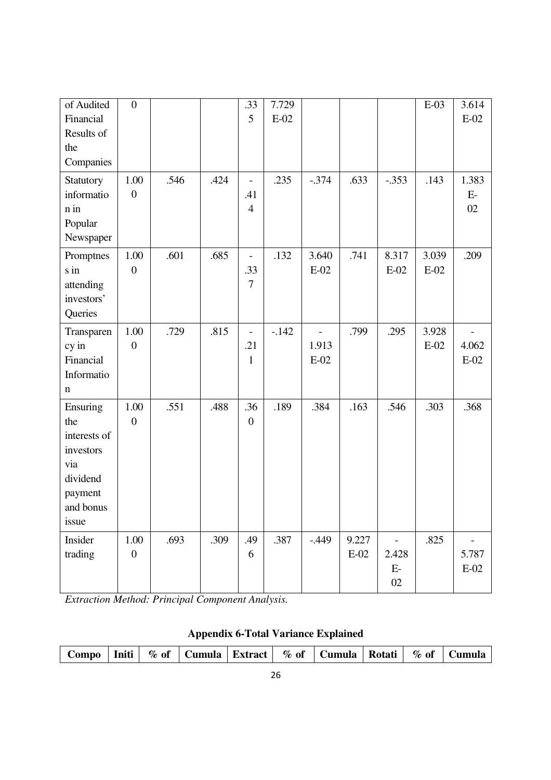| of Audited   | $\boldsymbol{0}$ |      |      | .33            | 7.729   |                |        |                | $E-03$ | 3.614  |
|--------------|------------------|------|------|----------------|---------|----------------|--------|----------------|--------|--------|
| Financial    |                  |      |      | 5              | $E-02$  |                |        |                |        | $E-02$ |
| Results of   |                  |      |      |                |         |                |        |                |        |        |
| the          |                  |      |      |                |         |                |        |                |        |        |
| Companies    |                  |      |      |                |         |                |        |                |        |        |
| Statutory    | 1.00             | .546 | .424 | $\blacksquare$ | .235    | $-.374$        | .633   | $-.353$        | .143   | 1.383  |
| informatio   | $\boldsymbol{0}$ |      |      | .41            |         |                |        |                |        | $E-$   |
| n in         |                  |      |      | $\overline{4}$ |         |                |        |                |        | 02     |
| Popular      |                  |      |      |                |         |                |        |                |        |        |
| Newspaper    |                  |      |      |                |         |                |        |                |        |        |
| Promptnes    | 1.00             | .601 | .685 | $\blacksquare$ | .132    | 3.640          | .741   | 8.317          | 3.039  | .209   |
| s in         | $\boldsymbol{0}$ |      |      | .33            |         | $E-02$         |        | $E-02$         | $E-02$ |        |
| attending    |                  |      |      | $\overline{7}$ |         |                |        |                |        |        |
| investors'   |                  |      |      |                |         |                |        |                |        |        |
| Queries      |                  |      |      |                |         |                |        |                |        |        |
| Transparen   | 1.00             | .729 | .815 | $\blacksquare$ | $-.142$ | $\overline{a}$ | .799   | .295           | 3.928  |        |
| cy in        | $\boldsymbol{0}$ |      |      | .21            |         | 1.913          |        |                | $E-02$ | 4.062  |
| Financial    |                  |      |      | $\mathbf{1}$   |         | $E-02$         |        |                |        | $E-02$ |
| Informatio   |                  |      |      |                |         |                |        |                |        |        |
| n            |                  |      |      |                |         |                |        |                |        |        |
| Ensuring     | 1.00             | .551 | .488 | .36            | .189    | .384           | .163   | .546           | .303   | .368   |
| the          | $\boldsymbol{0}$ |      |      | $\overline{0}$ |         |                |        |                |        |        |
| interests of |                  |      |      |                |         |                |        |                |        |        |
| investors    |                  |      |      |                |         |                |        |                |        |        |
| via          |                  |      |      |                |         |                |        |                |        |        |
| dividend     |                  |      |      |                |         |                |        |                |        |        |
| payment      |                  |      |      |                |         |                |        |                |        |        |
| and bonus    |                  |      |      |                |         |                |        |                |        |        |
| issue        |                  |      |      |                |         |                |        |                |        |        |
| Insider      | 1.00             | .693 | .309 | .49            | .387    | $-0.449$       | 9.227  | $\overline{a}$ | .825   |        |
| trading      | $\boldsymbol{0}$ |      |      | 6              |         |                | $E-02$ | 2.428          |        | 5.787  |
|              |                  |      |      |                |         |                |        | $E-$           |        | $E-02$ |
|              |                  |      |      |                |         |                |        | 02             |        |        |

*Extraction Method: Principal Component Analysis.* 

|  | Compo |  | $\sim$ Initi $\sim$ $\sim$ |  |  |  | $\frac{1}{2}$ % of   Cumula   Extract   % of   Cumula   Rotati   % of   Cumula |  |  |  |
|--|-------|--|----------------------------|--|--|--|--------------------------------------------------------------------------------|--|--|--|
|--|-------|--|----------------------------|--|--|--|--------------------------------------------------------------------------------|--|--|--|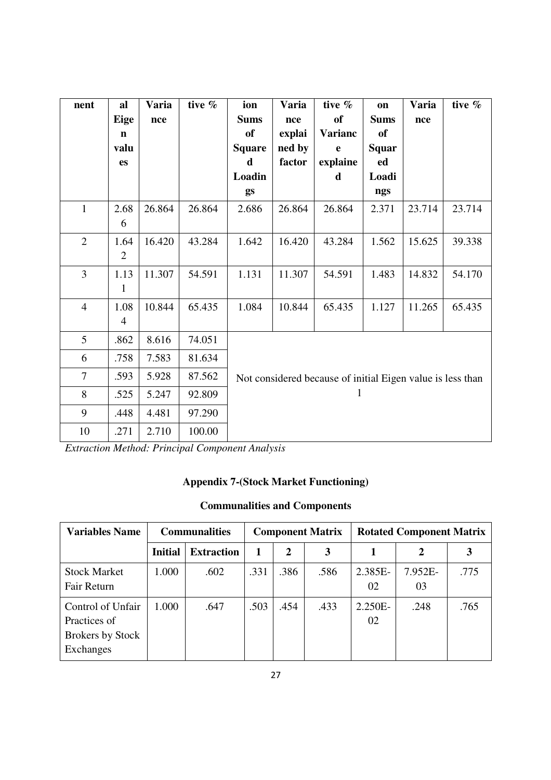| nent           | al             | Varia  | tive % | ion                                                        | Varia  | tive $%$       | on          | Varia  | tive % |  |  |
|----------------|----------------|--------|--------|------------------------------------------------------------|--------|----------------|-------------|--------|--------|--|--|
|                | Eige           | nce    |        | <b>Sums</b>                                                | nce    | of             | <b>Sums</b> | nce    |        |  |  |
|                | $\mathbf n$    |        |        | of                                                         | explai | <b>Varianc</b> | <b>of</b>   |        |        |  |  |
|                | valu           |        |        | <b>Square</b>                                              | ned by | e              | Squar       |        |        |  |  |
|                | <b>es</b>      |        |        | d                                                          | factor | explaine       | ed          |        |        |  |  |
|                |                |        |        | Loadin                                                     |        | d              | Loadi       |        |        |  |  |
|                |                |        |        | gs                                                         |        |                | ngs         |        |        |  |  |
| $\mathbf{1}$   | 2.68           | 26.864 | 26.864 | 2.686                                                      | 26.864 | 26.864         | 2.371       | 23.714 | 23.714 |  |  |
|                | 6              |        |        |                                                            |        |                |             |        |        |  |  |
| $\overline{2}$ | 1.64           | 16.420 | 43.284 | 1.642                                                      | 16.420 | 43.284         | 1.562       | 15.625 | 39.338 |  |  |
|                | $\overline{2}$ |        |        |                                                            |        |                |             |        |        |  |  |
| $\overline{3}$ | 1.13           | 11.307 | 54.591 | 1.131                                                      | 11.307 | 54.591         | 1.483       | 14.832 | 54.170 |  |  |
|                | $\mathbf{1}$   |        |        |                                                            |        |                |             |        |        |  |  |
| $\overline{4}$ | 1.08           | 10.844 | 65.435 | 1.084                                                      | 10.844 | 65.435         | 1.127       | 11.265 | 65.435 |  |  |
|                | $\overline{4}$ |        |        |                                                            |        |                |             |        |        |  |  |
| 5              | .862           | 8.616  | 74.051 |                                                            |        |                |             |        |        |  |  |
| 6              | .758           | 7.583  | 81.634 |                                                            |        |                |             |        |        |  |  |
| $\overline{7}$ | .593           | 5.928  | 87.562 | Not considered because of initial Eigen value is less than |        |                |             |        |        |  |  |
| 8              | .525           | 5.247  | 92.809 |                                                            |        | 1              |             |        |        |  |  |
| 9              | .448           | 4.481  | 97.290 |                                                            |        |                |             |        |        |  |  |
| 10             | .271           | 2.710  | 100.00 |                                                            |        |                |             |        |        |  |  |

*Extraction Method: Principal Component Analysis* 

## **Appendix 7-(Stock Market Functioning)**

# **Communalities and Components**

| <b>Variables Name</b>                                                     | <b>Communalities</b> |                   | <b>Component Matrix</b> |      |      | <b>Rotated Component Matrix</b> |               |      |  |
|---------------------------------------------------------------------------|----------------------|-------------------|-------------------------|------|------|---------------------------------|---------------|------|--|
|                                                                           | <b>Initial</b>       | <b>Extraction</b> | 1                       | 2    | 3    |                                 | 2             |      |  |
| <b>Stock Market</b><br>Fair Return                                        | 1.000                | .602              | .331                    | .386 | .586 | 2.385E-<br>02                   | 7.952E-<br>03 | .775 |  |
| Control of Unfair<br>Practices of<br><b>Brokers by Stock</b><br>Exchanges | 1.000                | .647              | .503                    | .454 | .433 | $2.250E -$<br>02                | .248          | .765 |  |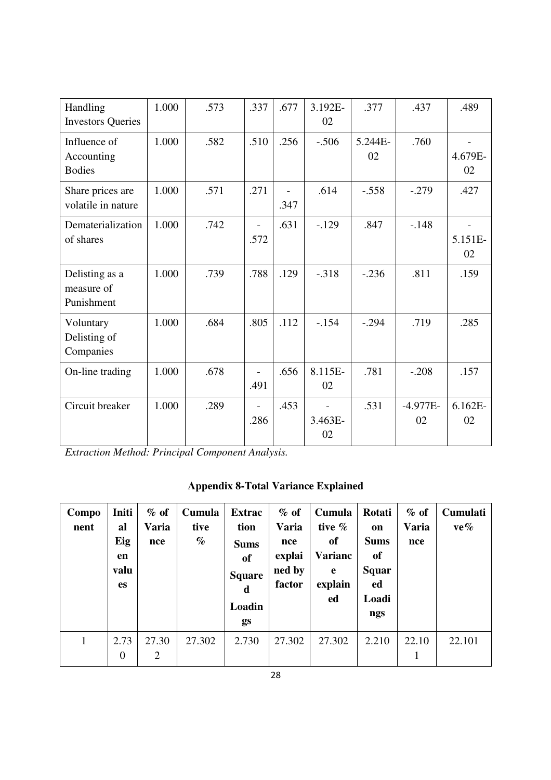| Handling<br><b>Investors Queries</b>        | 1.000 | .573 | .337                   | .677 | 3.192E-<br>02 | .377          | .437             | .489             |
|---------------------------------------------|-------|------|------------------------|------|---------------|---------------|------------------|------------------|
| Influence of<br>Accounting<br><b>Bodies</b> | 1.000 | .582 | .510                   | .256 | $-.506$       | 5.244E-<br>02 | .760             | 4.679E-<br>02    |
| Share prices are<br>volatile in nature      | 1.000 | .571 | .271                   | .347 | .614          | $-.558$       | $-.279$          | .427             |
| Dematerialization<br>of shares              | 1.000 | .742 | .572                   | .631 | $-129$        | .847          | $-.148$          | 5.151E-<br>02    |
| Delisting as a<br>measure of<br>Punishment  | 1.000 | .739 | .788                   | .129 | $-.318$       | $-.236$       | .811             | .159             |
| Voluntary<br>Delisting of<br>Companies      | 1.000 | .684 | .805                   | .112 | $-.154$       | $-.294$       | .719             | .285             |
| On-line trading                             | 1.000 | .678 | .491                   | .656 | 8.115E-<br>02 | .781          | $-.208$          | .157             |
| Circuit breaker                             | 1.000 | .289 | $\blacksquare$<br>.286 | .453 | 3.463E-<br>02 | .531          | $-4.977E-$<br>02 | $6.162E -$<br>02 |

*Extraction Method: Principal Component Analysis.* 

| <b>Appendix 8-Total Variance Explained</b> |  |  |
|--------------------------------------------|--|--|
|--------------------------------------------|--|--|

| Compo<br>nent | Initi<br>al<br>Eig<br>en<br>valu<br><b>es</b> | $\%$ of<br><b>Varia</b><br>nce | Cumula<br>tive<br>$\%$ | <b>Extrac</b><br>tion<br><b>Sums</b><br>of<br><b>Square</b><br>d<br>Loadin<br>gs | $\%$ of<br><b>Varia</b><br>nce<br>explai<br>ned by<br>factor | Cumula<br>tive $%$<br>of<br><b>Varianc</b><br>e<br>explain<br>ed | Rotati<br>on<br><b>Sums</b><br>of<br><b>Squar</b><br>ed<br>Loadi<br>ngs | $%$ of<br><b>Varia</b><br>nce | <b>Cumulati</b><br>$ve\%$ |
|---------------|-----------------------------------------------|--------------------------------|------------------------|----------------------------------------------------------------------------------|--------------------------------------------------------------|------------------------------------------------------------------|-------------------------------------------------------------------------|-------------------------------|---------------------------|
| 1             | 2.73<br>$\boldsymbol{0}$                      | 27.30<br>2                     | 27.302                 | 2.730                                                                            | 27.302                                                       | 27.302                                                           | 2.210                                                                   | 22.10<br>1                    | 22.101                    |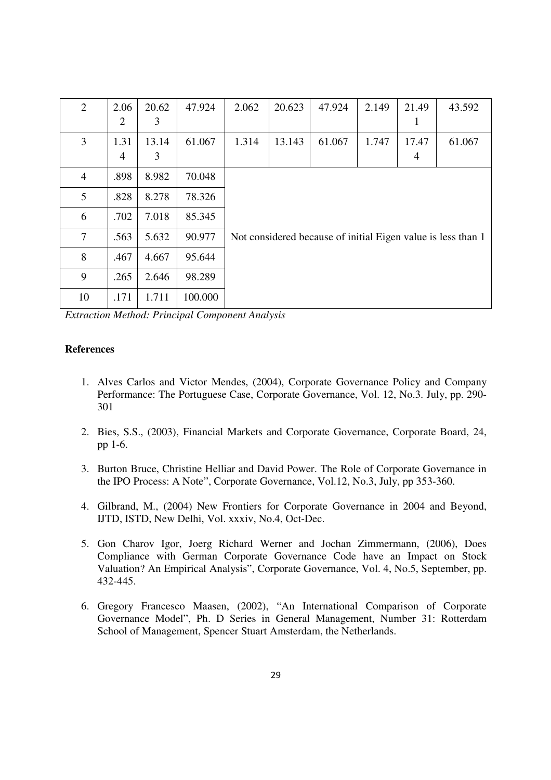| $\overline{2}$ | 2.06<br>$\overline{2}$ | 20.62<br>3 | 47.924  | 2.062 | 20.623 | 47.924 | 2.149 | 21.49<br>1 | 43.592                                                       |
|----------------|------------------------|------------|---------|-------|--------|--------|-------|------------|--------------------------------------------------------------|
| 3              | 1.31<br>$\overline{4}$ | 13.14<br>3 | 61.067  | 1.314 | 13.143 | 61.067 | 1.747 | 17.47<br>4 | 61.067                                                       |
| $\overline{4}$ | .898                   | 8.982      | 70.048  |       |        |        |       |            |                                                              |
| 5              | .828                   | 8.278      | 78.326  |       |        |        |       |            |                                                              |
| 6              | .702                   | 7.018      | 85.345  |       |        |        |       |            |                                                              |
| $\overline{7}$ | .563                   | 5.632      | 90.977  |       |        |        |       |            | Not considered because of initial Eigen value is less than 1 |
| 8              | .467                   | 4.667      | 95.644  |       |        |        |       |            |                                                              |
| 9              | .265                   | 2.646      | 98.289  |       |        |        |       |            |                                                              |
| 10             | .171                   | 1.711      | 100.000 |       |        |        |       |            |                                                              |

*Extraction Method: Principal Component Analysis* 

#### **References**

- 1. Alves Carlos and Victor Mendes, (2004), Corporate Governance Policy and Company Performance: The Portuguese Case, Corporate Governance, Vol. 12, No.3. July, pp. 290- 301
- 2. Bies, S.S., (2003), Financial Markets and Corporate Governance, Corporate Board, 24, pp 1-6.
- 3. Burton Bruce, Christine Helliar and David Power. The Role of Corporate Governance in the IPO Process: A Note", Corporate Governance, Vol.12, No.3, July, pp 353-360.
- 4. Gilbrand, M., (2004) New Frontiers for Corporate Governance in 2004 and Beyond, IJTD, ISTD, New Delhi, Vol. xxxiv, No.4, Oct-Dec.
- 5. Gon Charov Igor, Joerg Richard Werner and Jochan Zimmermann, (2006), Does Compliance with German Corporate Governance Code have an Impact on Stock Valuation? An Empirical Analysis", Corporate Governance, Vol. 4, No.5, September, pp. 432-445.
- 6. Gregory Francesco Maasen, (2002), "An International Comparison of Corporate Governance Model", Ph. D Series in General Management, Number 31: Rotterdam School of Management, Spencer Stuart Amsterdam, the Netherlands.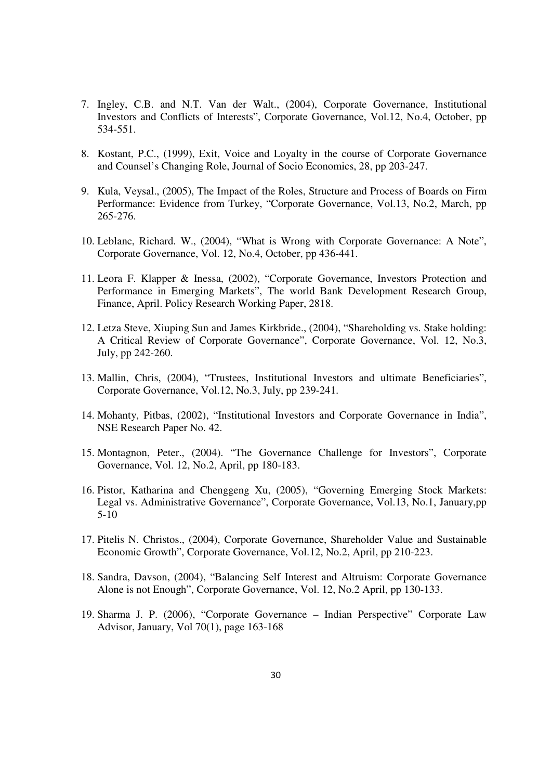- 7. Ingley, C.B. and N.T. Van der Walt., (2004), Corporate Governance, Institutional Investors and Conflicts of Interests", Corporate Governance, Vol.12, No.4, October, pp 534-551.
- 8. Kostant, P.C., (1999), Exit, Voice and Loyalty in the course of Corporate Governance and Counsel's Changing Role, Journal of Socio Economics, 28, pp 203-247.
- 9. Kula, Veysal., (2005), The Impact of the Roles, Structure and Process of Boards on Firm Performance: Evidence from Turkey, "Corporate Governance, Vol.13, No.2, March, pp 265-276.
- 10. Leblanc, Richard. W., (2004), "What is Wrong with Corporate Governance: A Note", Corporate Governance, Vol. 12, No.4, October, pp 436-441.
- 11. Leora F. Klapper & Inessa, (2002), "Corporate Governance, Investors Protection and Performance in Emerging Markets", The world Bank Development Research Group, Finance, April. Policy Research Working Paper, 2818.
- 12. Letza Steve, Xiuping Sun and James Kirkbride., (2004), "Shareholding vs. Stake holding: A Critical Review of Corporate Governance", Corporate Governance, Vol. 12, No.3, July, pp 242-260.
- 13. Mallin, Chris, (2004), "Trustees, Institutional Investors and ultimate Beneficiaries", Corporate Governance, Vol.12, No.3, July, pp 239-241.
- 14. Mohanty, Pitbas, (2002), "Institutional Investors and Corporate Governance in India", NSE Research Paper No. 42.
- 15. Montagnon, Peter., (2004). "The Governance Challenge for Investors", Corporate Governance, Vol. 12, No.2, April, pp 180-183.
- 16. Pistor, Katharina and Chenggeng Xu, (2005), "Governing Emerging Stock Markets: Legal vs. Administrative Governance", Corporate Governance, Vol.13, No.1, January,pp 5-10
- 17. Pitelis N. Christos., (2004), Corporate Governance, Shareholder Value and Sustainable Economic Growth", Corporate Governance, Vol.12, No.2, April, pp 210-223.
- 18. Sandra, Davson, (2004), "Balancing Self Interest and Altruism: Corporate Governance Alone is not Enough", Corporate Governance, Vol. 12, No.2 April, pp 130-133.
- 19. Sharma J. P. (2006), "Corporate Governance Indian Perspective" Corporate Law Advisor, January, Vol 70(1), page 163-168